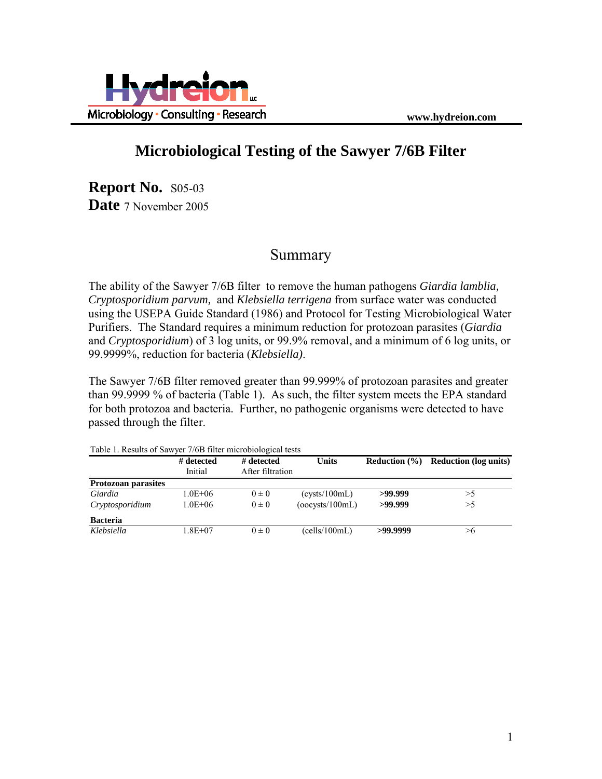



# **Microbiological Testing of the Sawyer 7/6B Filter**

**Report No.** S05-03 **Date** 7 November 2005

### Summary

The ability of the Sawyer 7/6B filter to remove the human pathogens *Giardia lamblia, Cryptosporidium parvum,* and *Klebsiella terrigena* from surface water was conducted using the USEPA Guide Standard (1986) and Protocol for Testing Microbiological Water Purifiers. The Standard requires a minimum reduction for protozoan parasites (*Giardia* and *Cryptosporidium*) of 3 log units, or 99.9% removal, and a minimum of 6 log units, or 99.9999%, reduction for bacteria (*Klebsiella)*.

The Sawyer 7/6B filter removed greater than 99.999% of protozoan parasites and greater than 99.9999 % of bacteria (Table 1). As such, the filter system meets the EPA standard for both protozoa and bacteria. Further, no pathogenic organisms were detected to have passed through the filter.

| Table 1. Results of Sawyer 770D filter initiability resus |                       |                                |                 |                   |                              |  |  |  |
|-----------------------------------------------------------|-----------------------|--------------------------------|-----------------|-------------------|------------------------------|--|--|--|
|                                                           | # detected<br>Initial | # detected<br>After filtration | Units           | Reduction $(\% )$ | <b>Reduction</b> (log units) |  |  |  |
| <b>Protozoan parasites</b>                                |                       |                                |                 |                   |                              |  |  |  |
| Giardia                                                   | 1.0E+06               | $0 \pm 0$                      | (cvsts/100mL)   | >99.999           | >5                           |  |  |  |
| Cryptosporidium                                           | $1.0E + 06$           | $0 \pm 0$                      | (occvsts/100mL) | >99.999           | >5                           |  |  |  |
| <b>Bacteria</b>                                           |                       |                                |                 |                   |                              |  |  |  |
| Klebsiella                                                | 1.8E+07               | $0 \pm 0$                      | (cells/100mL)   | >99.9999          | >6                           |  |  |  |

Table 1. Results of Sawyer 7/6B filter microbiological tests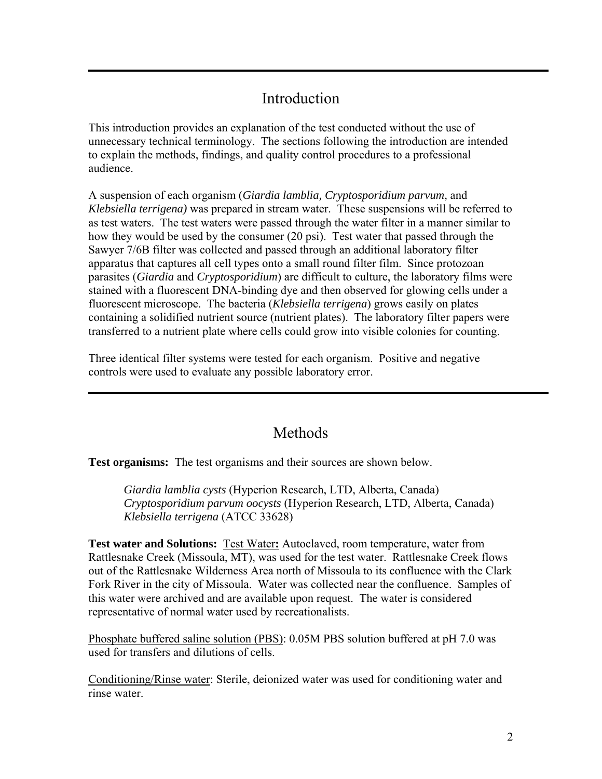## Introduction

This introduction provides an explanation of the test conducted without the use of unnecessary technical terminology. The sections following the introduction are intended to explain the methods, findings, and quality control procedures to a professional audience.

A suspension of each organism (*Giardia lamblia, Cryptosporidium parvum,* and *Klebsiella terrigena)* was prepared in stream water. These suspensions will be referred to as test waters. The test waters were passed through the water filter in a manner similar to how they would be used by the consumer (20 psi). Test water that passed through the Sawyer 7/6B filter was collected and passed through an additional laboratory filter apparatus that captures all cell types onto a small round filter film. Since protozoan parasites (*Giardia* and *Cryptosporidium*) are difficult to culture, the laboratory films were stained with a fluorescent DNA-binding dye and then observed for glowing cells under a fluorescent microscope. The bacteria (*Klebsiella terrigena*) grows easily on plates containing a solidified nutrient source (nutrient plates). The laboratory filter papers were transferred to a nutrient plate where cells could grow into visible colonies for counting.

Three identical filter systems were tested for each organism. Positive and negative controls were used to evaluate any possible laboratory error.

### **Methods**

**Test organisms:** The test organisms and their sources are shown below.

*Giardia lamblia cysts* (Hyperion Research, LTD, Alberta, Canada) *Cryptosporidium parvum oocysts* (Hyperion Research, LTD, Alberta, Canada) *Klebsiella terrigena* (ATCC 33628)

**Test water and Solutions:** Test Water**:** Autoclaved, room temperature, water from Rattlesnake Creek (Missoula, MT), was used for the test water. Rattlesnake Creek flows out of the Rattlesnake Wilderness Area north of Missoula to its confluence with the Clark Fork River in the city of Missoula. Water was collected near the confluence. Samples of this water were archived and are available upon request. The water is considered representative of normal water used by recreationalists.

Phosphate buffered saline solution (PBS): 0.05M PBS solution buffered at pH 7.0 was used for transfers and dilutions of cells.

Conditioning/Rinse water: Sterile, deionized water was used for conditioning water and rinse water.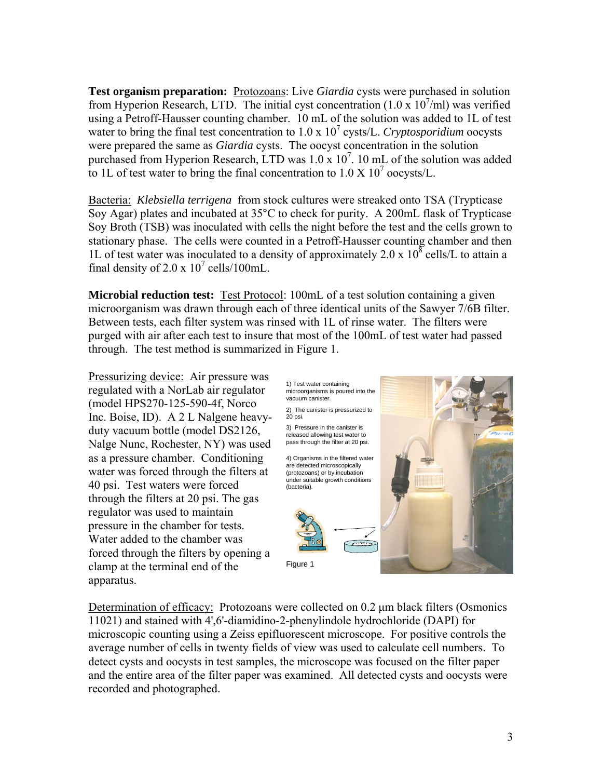**Test organism preparation:** Protozoans: Live *Giardia* cysts were purchased in solution from Hyperion Research, LTD. The initial cyst concentration  $(1.0 \times 10^7/\text{ml})$  was verified using a Petroff-Hausser counting chamber. 10 mL of the solution was added to 1L of test water to bring the final test concentration to 1.0 x 10<sup>7</sup> cysts/L. *Cryptosporidium* oocysts were prepared the same as *Giardia* cysts. The oocyst concentration in the solution purchased from Hyperion Research, LTD was  $1.0 \times 10^7$ . 10 mL of the solution was added to 1L of test water to bring the final concentration to  $1.0 \text{ X } 10^7$  oocysts/L.

Bacteria: *Klebsiella terrigena* from stock cultures were streaked onto TSA (Trypticase Soy Agar) plates and incubated at 35°C to check for purity. A 200mL flask of Trypticase Soy Broth (TSB) was inoculated with cells the night before the test and the cells grown to stationary phase. The cells were counted in a Petroff-Hausser counting chamber and then 1L of test water was inoculated to a density of approximately 2.0 x  $10^8$  cells/L to attain a final density of 2.0 x  $10^7$  cells/100mL.

**Microbial reduction test:** Test Protocol: 100mL of a test solution containing a given microorganism was drawn through each of three identical units of the Sawyer 7/6B filter. Between tests, each filter system was rinsed with 1L of rinse water. The filters were purged with air after each test to insure that most of the 100mL of test water had passed through. The test method is summarized in Figure 1.

Pressurizing device: Air pressure was regulated with a NorLab air regulator (model HPS270-125-590-4f, Norco Inc. Boise, ID). A 2 L Nalgene heavyduty vacuum bottle (model DS2126, Nalge Nunc, Rochester, NY) was used as a pressure chamber. Conditioning water was forced through the filters at 40 psi. Test waters were forced through the filters at 20 psi. The gas regulator was used to maintain pressure in the chamber for tests. Water added to the chamber was forced through the filters by opening a clamp at the terminal end of the apparatus.

1) Test water containing microorganisms is poured into the vacuum canister. 4) Organisms in the filtered water are detected microscopically (protozoans) or by incubation under suitable growth conditions (bacteria). 2) The canister is pressurized to 20 psi. 3) Pressure in the canister is released allowing test water to pass through the filter at 20 psi. Figure 1

Determination of efficacy: Protozoans were collected on 0.2 μm black filters (Osmonics 11021) and stained with 4',6'-diamidino-2-phenylindole hydrochloride (DAPI) for microscopic counting using a Zeiss epifluorescent microscope. For positive controls the average number of cells in twenty fields of view was used to calculate cell numbers. To detect cysts and oocysts in test samples, the microscope was focused on the filter paper and the entire area of the filter paper was examined. All detected cysts and oocysts were recorded and photographed.